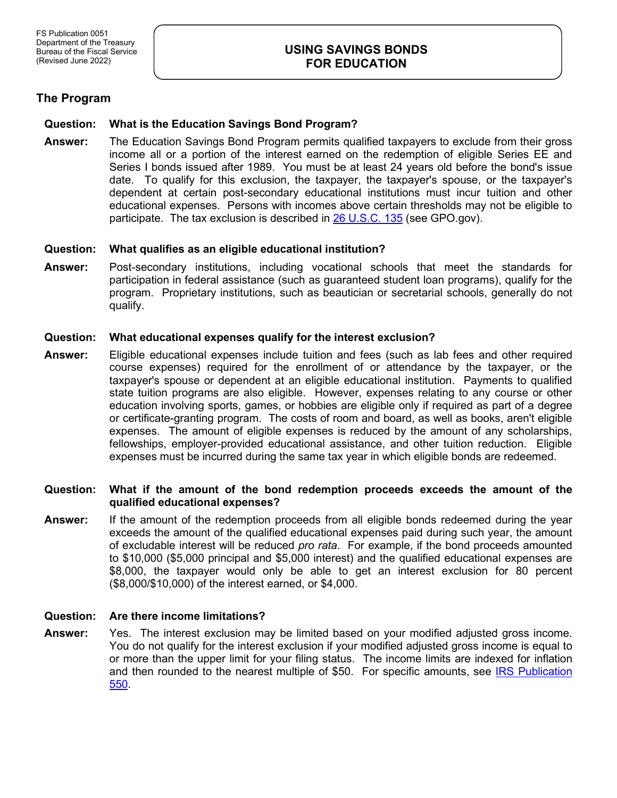# **USING SAVINGS BONDS FOR EDUCATION**

# **The Program**

## **Question: What is the Education Savings Bond Program?**

**Answer:** The Education Savings Bond Program permits qualified taxpayers to exclude from their gross income all or a portion of the interest earned on the redemption of eligible Series EE and Series I bonds issued after 1989. You must be at least 24 years old before the bond's issue date. To qualify for this exclusion, the taxpayer, the taxpayer's spouse, or the taxpayer's dependent at certain post-secondary educational institutions must incur tuition and other educational expenses. Persons with incomes above certain thresholds may not be eligible to participate. The tax exclusion is described in [26 U.S.C. 135](http://www.gpo.gov/fdsys/pkg/USCODE-2010-title26/pdf/USCODE-2010-title26-subtitleA-chap1-subchapB-partIII-sec135.pdf) (see GPO.gov).

### **Question: What qualifies as an eligible educational institution?**

**Answer:** Post-secondary institutions, including vocational schools that meet the standards for participation in federal assistance (such as guaranteed student loan programs), qualify for the program. Proprietary institutions, such as beautician or secretarial schools, generally do not qualify.

## **Question: What educational expenses qualify for the interest exclusion?**

**Answer:** Eligible educational expenses include tuition and fees (such as lab fees and other required course expenses) required for the enrollment of or attendance by the taxpayer, or the taxpayer's spouse or dependent at an eligible educational institution. Payments to qualified state tuition programs are also eligible. However, expenses relating to any course or other education involving sports, games, or hobbies are eligible only if required as part of a degree or certificate-granting program. The costs of room and board, as well as books, aren't eligible expenses. The amount of eligible expenses is reduced by the amount of any scholarships, fellowships, employer-provided educational assistance, and other tuition reduction. Eligible expenses must be incurred during the same tax year in which eligible bonds are redeemed.

## **Question: What if the amount of the bond redemption proceeds exceeds the amount of the qualified educational expenses?**

**Answer:** If the amount of the redemption proceeds from all eligible bonds redeemed during the year exceeds the amount of the qualified educational expenses paid during such year, the amount of excludable interest will be reduced *pro rata*. For example, if the bond proceeds amounted to \$10,000 (\$5,000 principal and \$5,000 interest) and the qualified educational expenses are \$8,000, the taxpayer would only be able to get an interest exclusion for 80 percent (\$8,000/\$10,000) of the interest earned, or \$4,000.

### **Question: Are there income limitations?**

**Answer:** Yes. The interest exclusion may be limited based on your modified adjusted gross income. You do not qualify for the interest exclusion if your modified adjusted gross income is equal to or more than the upper limit for your filing status. The income limits are indexed for inflation and then rounded to the nearest multiple of \$50. For specific amounts, see [IRS Publication](http://www.irs.gov/publications/p550/index.html)  [550.](http://www.irs.gov/publications/p550/index.html)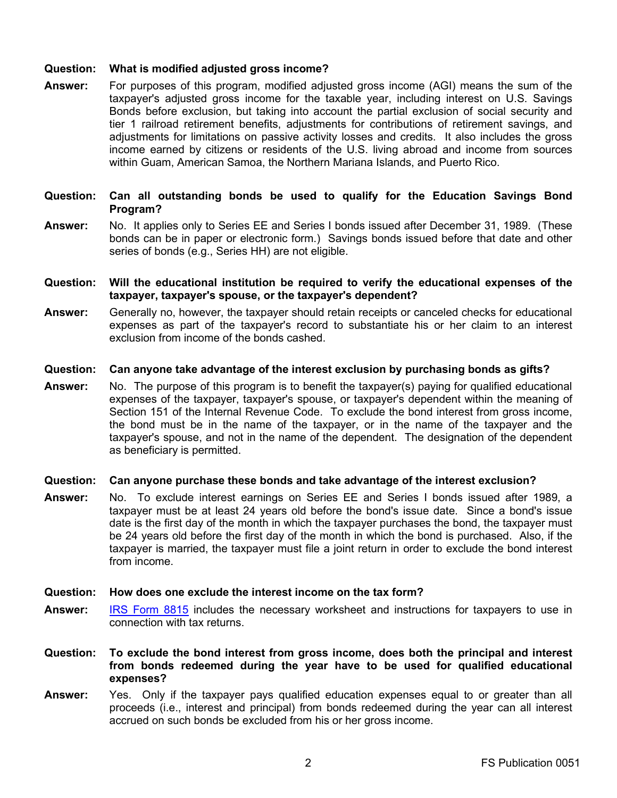## **Question: What is modified adjusted gross income?**

**Answer:** For purposes of this program, modified adjusted gross income (AGI) means the sum of the taxpayer's adjusted gross income for the taxable year, including interest on U.S. Savings Bonds before exclusion, but taking into account the partial exclusion of social security and tier 1 railroad retirement benefits, adjustments for contributions of retirement savings, and adjustments for limitations on passive activity losses and credits. It also includes the gross income earned by citizens or residents of the U.S. living abroad and income from sources within Guam, American Samoa, the Northern Mariana Islands, and Puerto Rico.

### **Question: Can all outstanding bonds be used to qualify for the Education Savings Bond Program?**

- **Answer:** No. It applies only to Series EE and Series I bonds issued after December 31, 1989. (These bonds can be in paper or electronic form.) Savings bonds issued before that date and other series of bonds (e.g., Series HH) are not eligible.
- **Question: Will the educational institution be required to verify the educational expenses of the taxpayer, taxpayer's spouse, or the taxpayer's dependent?**
- **Answer:** Generally no, however, the taxpayer should retain receipts or canceled checks for educational expenses as part of the taxpayer's record to substantiate his or her claim to an interest exclusion from income of the bonds cashed.

#### **Question: Can anyone take advantage of the interest exclusion by purchasing bonds as gifts?**

**Answer:** No. The purpose of this program is to benefit the taxpayer(s) paying for qualified educational expenses of the taxpayer, taxpayer's spouse, or taxpayer's dependent within the meaning of Section 151 of the Internal Revenue Code. To exclude the bond interest from gross income, the bond must be in the name of the taxpayer, or in the name of the taxpayer and the taxpayer's spouse, and not in the name of the dependent. The designation of the dependent as beneficiary is permitted.

#### **Question: Can anyone purchase these bonds and take advantage of the interest exclusion?**

**Answer:** No. To exclude interest earnings on Series EE and Series I bonds issued after 1989, a taxpayer must be at least 24 years old before the bond's issue date. Since a bond's issue date is the first day of the month in which the taxpayer purchases the bond, the taxpayer must be 24 years old before the first day of the month in which the bond is purchased. Also, if the taxpayer is married, the taxpayer must file a joint return in order to exclude the bond interest from income.

### **Question: How does one exclude the interest income on the tax form?**

- **Answer:** [IRS Form 8815](http://www.irs.gov/pub/irs-pdf/f8815.pdf) includes the necessary worksheet and instructions for taxpayers to use in connection with tax returns.
- **Question: To exclude the bond interest from gross income, does both the principal and interest from bonds redeemed during the year have to be used for qualified educational expenses?**
- **Answer:** Yes. Only if the taxpayer pays qualified education expenses equal to or greater than all proceeds (i.e., interest and principal) from bonds redeemed during the year can all interest accrued on such bonds be excluded from his or her gross income.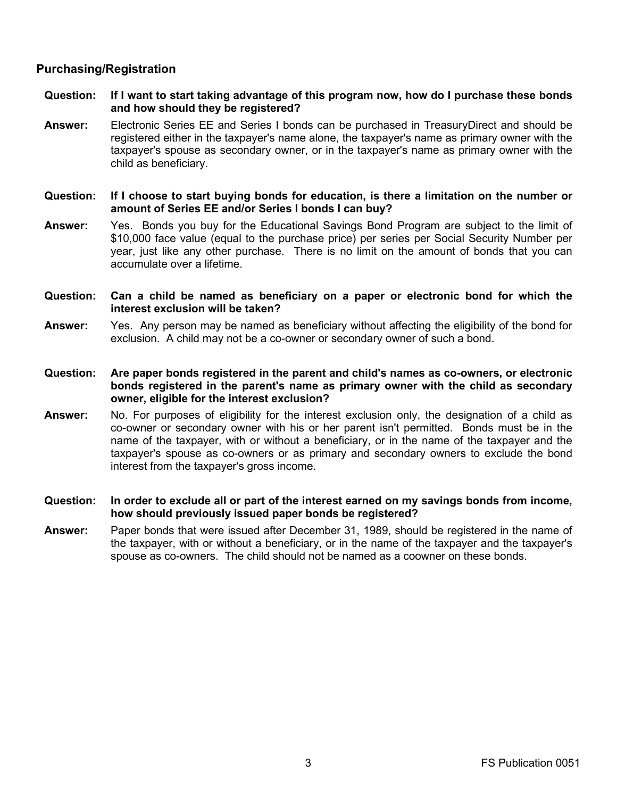# **Purchasing/Registration**

- **Question: If I want to start taking advantage of this program now, how do I purchase these bonds and how should they be registered?**
- **Answer:** Electronic Series EE and Series I bonds can be purchased in TreasuryDirect and should be registered either in the taxpayer's name alone, the taxpayer's name as primary owner with the taxpayer's spouse as secondary owner, or in the taxpayer's name as primary owner with the child as beneficiary.
- **Question: If I choose to start buying bonds for education, is there a limitation on the number or amount of Series EE and/or Series I bonds I can buy?**
- **Answer:** Yes. Bonds you buy for the Educational Savings Bond Program are subject to the limit of \$10,000 face value (equal to the purchase price) per series per Social Security Number per year, just like any other purchase. There is no limit on the amount of bonds that you can accumulate over a lifetime.
- **Question: Can a child be named as beneficiary on a paper or electronic bond for which the interest exclusion will be taken?**
- **Answer:** Yes. Any person may be named as beneficiary without affecting the eligibility of the bond for exclusion. A child may not be a co-owner or secondary owner of such a bond.
- **Question: Are paper bonds registered in the parent and child's names as co-owners, or electronic bonds registered in the parent's name as primary owner with the child as secondary owner, eligible for the interest exclusion?**
- **Answer:** No. For purposes of eligibility for the interest exclusion only, the designation of a child as co-owner or secondary owner with his or her parent isn't permitted. Bonds must be in the name of the taxpayer, with or without a beneficiary, or in the name of the taxpayer and the taxpayer's spouse as co-owners or as primary and secondary owners to exclude the bond interest from the taxpayer's gross income.
- **Question: In order to exclude all or part of the interest earned on my savings bonds from income, how should previously issued paper bonds be registered?**
- **Answer:** Paper bonds that were issued after December 31, 1989, should be registered in the name of the taxpayer, with or without a beneficiary, or in the name of the taxpayer and the taxpayer's spouse as co-owners. The child should not be named as a coowner on these bonds.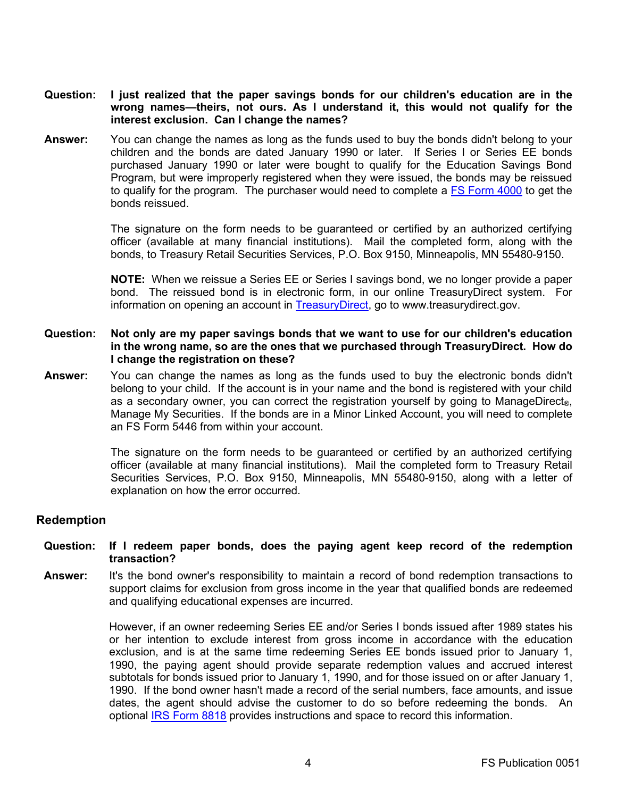- **Question: I just realized that the paper savings bonds for our children's education are in the wrong names—theirs, not ours. As I understand it, this would not qualify for the interest exclusion. Can I change the names?**
- **Answer:** You can change the names as long as the funds used to buy the bonds didn't belong to your children and the bonds are dated January 1990 or later. If Series I or Series EE bonds purchased January 1990 or later were bought to qualify for the Education Savings Bond Program, but were improperly registered when they were issued, the bonds may be reissued to qualify for the program. The purchaser would need to complete a [FS Form](http://www.treasurydirect.gov/forms/sav4000.pdf) 4000 to get the bonds reissued.

The signature on the form needs to be guaranteed or certified by an authorized certifying officer (available at many financial institutions). Mail the completed form, along with the bonds, to Treasury Retail Securities Services, P.O. Box 9150, Minneapolis, MN 55480-9150.

**NOTE:** When we reissue a Series EE or Series I savings bond, we no longer provide a paper bond. The reissued bond is in electronic form, in our online TreasuryDirect system. For information on opening an account in [TreasuryDirect,](http://www.treasurydirect.gov/indiv/myaccount/myaccount_treasurydirect.htm) go to www.treasurydirect.gov.

## **Question: Not only are my paper savings bonds that we want to use for our children's education in the wrong name, so are the ones that we purchased through TreasuryDirect. How do I change the registration on these?**

**Answer:** You can change the names as long as the funds used to buy the electronic bonds didn't belong to your child. If the account is in your name and the bond is registered with your child as a secondary owner, you can correct the registration yourself by going to ManageDirect®, Manage My Securities. If the bonds are in a Minor Linked Account, you will need to complete an FS Form 5446 from within your account.

> The signature on the form needs to be guaranteed or certified by an authorized certifying officer (available at many financial institutions). Mail the completed form to Treasury Retail Securities Services, P.O. Box 9150, Minneapolis, MN 55480-9150, along with a letter of explanation on how the error occurred.

## **Redemption**

#### **Question: If I redeem paper bonds, does the paying agent keep record of the redemption transaction?**

**Answer:** It's the bond owner's responsibility to maintain a record of bond redemption transactions to support claims for exclusion from gross income in the year that qualified bonds are redeemed and qualifying educational expenses are incurred.

> However, if an owner redeeming Series EE and/or Series I bonds issued after 1989 states his or her intention to exclude interest from gross income in accordance with the education exclusion, and is at the same time redeeming Series EE bonds issued prior to January 1, 1990, the paying agent should provide separate redemption values and accrued interest subtotals for bonds issued prior to January 1, 1990, and for those issued on or after January 1, 1990. If the bond owner hasn't made a record of the serial numbers, face amounts, and issue dates, the agent should advise the customer to do so before redeeming the bonds. An optional [IRS Form 8818](http://www.irs.gov/pub/irs-pdf/f8818.pdf) provides instructions and space to record this information.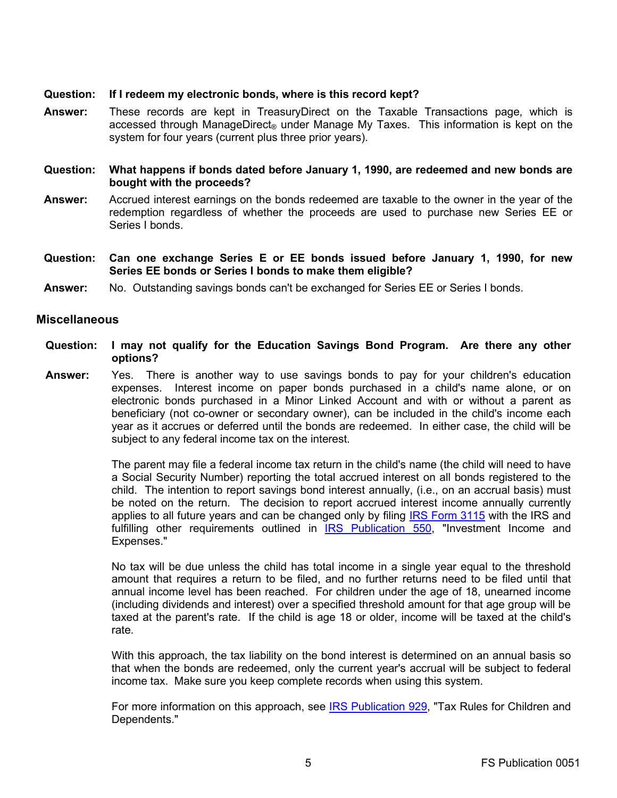## **Question: If I redeem my electronic bonds, where is this record kept?**

**Answer:** These records are kept in TreasuryDirect on the Taxable Transactions page, which is accessed through ManageDirect<sup>®</sup> under Manage My Taxes. This information is kept on the system for four years (current plus three prior years).

## **Question: What happens if bonds dated before January 1, 1990, are redeemed and new bonds are bought with the proceeds?**

- **Answer:** Accrued interest earnings on the bonds redeemed are taxable to the owner in the year of the redemption regardless of whether the proceeds are used to purchase new Series EE or Series I bonds.
- **Question: Can one exchange Series E or EE bonds issued before January 1, 1990, for new Series EE bonds or Series I bonds to make them eligible?**
- **Answer:** No. Outstanding savings bonds can't be exchanged for Series EE or Series I bonds.

### **Miscellaneous**

- **Question: I may not qualify for the Education Savings Bond Program. Are there any other options?**
- **Answer:** Yes. There is another way to use savings bonds to pay for your children's education expenses. Interest income on paper bonds purchased in a child's name alone, or on electronic bonds purchased in a Minor Linked Account and with or without a parent as beneficiary (not co-owner or secondary owner), can be included in the child's income each year as it accrues or deferred until the bonds are redeemed. In either case, the child will be subject to any federal income tax on the interest.

The parent may file a federal income tax return in the child's name (the child will need to have a Social Security Number) reporting the total accrued interest on all bonds registered to the child. The intention to report savings bond interest annually, (i.e., on an accrual basis) must be noted on the return. The decision to report accrued interest income annually currently applies to all future years and can be changed only by filing [IRS Form 3115](http://www.irs.gov/pub/irs-pdf/f3115.pdf) with the IRS and fulfilling other requirements outlined in [IRS Publication 550,](http://www.irs.gov/publications/p550/index.html) "Investment Income and Expenses."

No tax will be due unless the child has total income in a single year equal to the threshold amount that requires a return to be filed, and no further returns need to be filed until that annual income level has been reached. For children under the age of 18, unearned income (including dividends and interest) over a specified threshold amount for that age group will be taxed at the parent's rate. If the child is age 18 or older, income will be taxed at the child's rate.

With this approach, the tax liability on the bond interest is determined on an annual basis so that when the bonds are redeemed, only the current year's accrual will be subject to federal income tax. Make sure you keep complete records when using this system.

For more information on this approach, see [IRS Publication 929,](http://www.irs.gov/publications/p929/index.html) "Tax Rules for Children and Dependents."